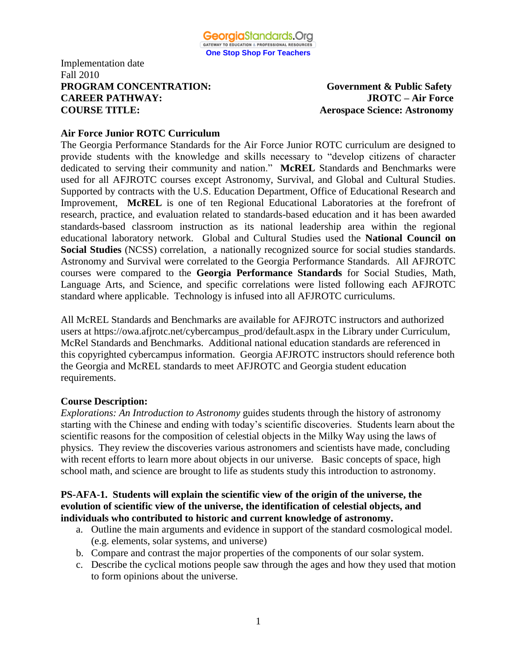

# Implementation date Fall 2010 **PROGRAM CONCENTRATION:** Government & Public Safety **CAREER PATHWAY: JROTC – Air Force COURSE TITLE: Aerospace Science: Astronomy**

# **Air Force Junior ROTC Curriculum**

The Georgia Performance Standards for the Air Force Junior ROTC curriculum are designed to provide students with the knowledge and skills necessary to "develop citizens of character dedicated to serving their community and nation." **McREL** Standards and Benchmarks were used for all AFJROTC courses except Astronomy, Survival, and Global and Cultural Studies. Supported by contracts with the U.S. Education Department, Office of Educational Research and Improvement, **McREL** is one of ten Regional Educational Laboratories at the forefront of research, practice, and evaluation related to standards-based education and it has been awarded standards-based classroom instruction as its national leadership area within the regional educational laboratory network. Global and Cultural Studies used the **National Council on Social Studies** (NCSS) correlation, a nationally recognized source for social studies standards. Astronomy and Survival were correlated to the Georgia Performance Standards. All AFJROTC courses were compared to the **Georgia Performance Standards** for Social Studies, Math, Language Arts, and Science, and specific correlations were listed following each AFJROTC standard where applicable. Technology is infused into all AFJROTC curriculums.

All McREL Standards and Benchmarks are available for AFJROTC instructors and authorized users at https://owa.afjrotc.net/cybercampus\_prod/default.aspx in the Library under Curriculum, McRel Standards and Benchmarks. Additional national education standards are referenced in this copyrighted cybercampus information. Georgia AFJROTC instructors should reference both the Georgia and McREL standards to meet AFJROTC and Georgia student education requirements.

### **Course Description:**

*Explorations: An Introduction to Astronomy* guides students through the history of astronomy starting with the Chinese and ending with today's scientific discoveries. Students learn about the scientific reasons for the composition of celestial objects in the Milky Way using the laws of physics. They review the discoveries various astronomers and scientists have made, concluding with recent efforts to learn more about objects in our universe. Basic concepts of space, high school math, and science are brought to life as students study this introduction to astronomy.

### **PS-AFA-1. Students will explain the scientific view of the origin of the universe, the evolution of scientific view of the universe, the identification of celestial objects, and individuals who contributed to historic and current knowledge of astronomy.**

- a. Outline the main arguments and evidence in support of the standard cosmological model. (e.g. elements, solar systems, and universe)
- b. Compare and contrast the major properties of the components of our solar system.
- c. Describe the cyclical motions people saw through the ages and how they used that motion to form opinions about the universe.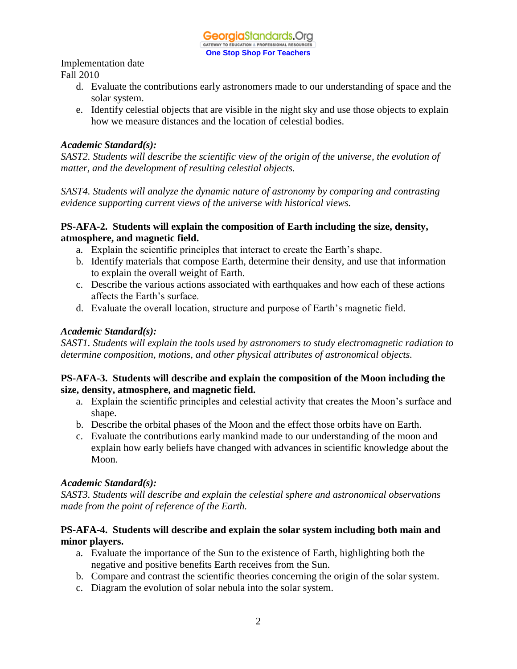Implementation date

Fall 2010

- d. Evaluate the contributions early astronomers made to our understanding of space and the solar system.
- e. Identify celestial objects that are visible in the night sky and use those objects to explain how we measure distances and the location of celestial bodies.

# *Academic Standard(s):*

*SAST2. Students will describe the scientific view of the origin of the universe, the evolution of matter, and the development of resulting celestial objects.* 

*SAST4. Students will analyze the dynamic nature of astronomy by comparing and contrasting evidence supporting current views of the universe with historical views.* 

# **PS-AFA-2. Students will explain the composition of Earth including the size, density, atmosphere, and magnetic field.**

- a. Explain the scientific principles that interact to create the Earth's shape.
- b. Identify materials that compose Earth, determine their density, and use that information to explain the overall weight of Earth.
- c. Describe the various actions associated with earthquakes and how each of these actions affects the Earth's surface.
- d. Evaluate the overall location, structure and purpose of Earth's magnetic field.

# *Academic Standard(s):*

*SAST1. Students will explain the tools used by astronomers to study electromagnetic radiation to determine composition, motions, and other physical attributes of astronomical objects.* 

# **PS-AFA-3. Students will describe and explain the composition of the Moon including the size, density, atmosphere, and magnetic field.**

- a. Explain the scientific principles and celestial activity that creates the Moon's surface and shape.
- b. Describe the orbital phases of the Moon and the effect those orbits have on Earth.
- c. Evaluate the contributions early mankind made to our understanding of the moon and explain how early beliefs have changed with advances in scientific knowledge about the Moon.

### *Academic Standard(s):*

*SAST3. Students will describe and explain the celestial sphere and astronomical observations made from the point of reference of the Earth.* 

# **PS-AFA-4. Students will describe and explain the solar system including both main and minor players.**

- a. Evaluate the importance of the Sun to the existence of Earth, highlighting both the negative and positive benefits Earth receives from the Sun.
- b. Compare and contrast the scientific theories concerning the origin of the solar system.
- c. Diagram the evolution of solar nebula into the solar system.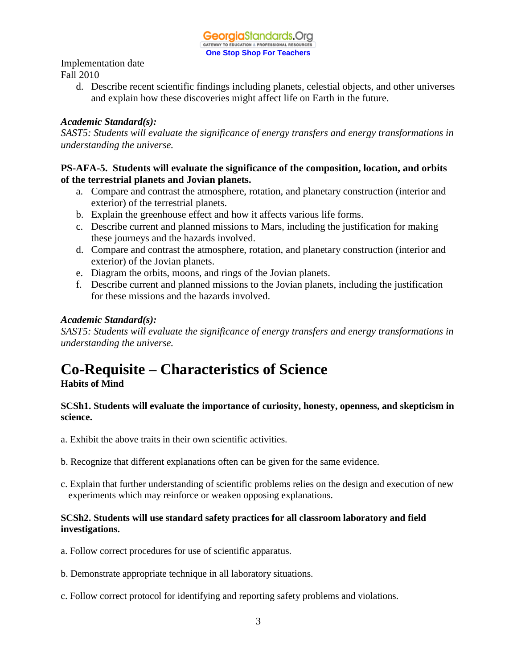> d. Describe recent scientific findings including planets, celestial objects, and other universes and explain how these discoveries might affect life on Earth in the future.

# *Academic Standard(s):*

*SAST5: Students will evaluate the significance of energy transfers and energy transformations in understanding the universe.* 

### **PS-AFA-5. Students will evaluate the significance of the composition, location, and orbits of the terrestrial planets and Jovian planets.**

- a. Compare and contrast the atmosphere, rotation, and planetary construction (interior and exterior) of the terrestrial planets.
- b. Explain the greenhouse effect and how it affects various life forms.
- c. Describe current and planned missions to Mars, including the justification for making these journeys and the hazards involved.
- d. Compare and contrast the atmosphere, rotation, and planetary construction (interior and exterior) of the Jovian planets.
- e. Diagram the orbits, moons, and rings of the Jovian planets.
- f. Describe current and planned missions to the Jovian planets, including the justification for these missions and the hazards involved.

### *Academic Standard(s):*

*SAST5: Students will evaluate the significance of energy transfers and energy transformations in understanding the universe.* 

# **Co-Requisite – Characteristics of Science**

# **Habits of Mind**

# **SCSh1. Students will evaluate the importance of curiosity, honesty, openness, and skepticism in science.**

- a. Exhibit the above traits in their own scientific activities.
- b. Recognize that different explanations often can be given for the same evidence.
- c. Explain that further understanding of scientific problems relies on the design and execution of new experiments which may reinforce or weaken opposing explanations.

### **SCSh2. Students will use standard safety practices for all classroom laboratory and field investigations.**

- a. Follow correct procedures for use of scientific apparatus.
- b. Demonstrate appropriate technique in all laboratory situations.
- c. Follow correct protocol for identifying and reporting safety problems and violations.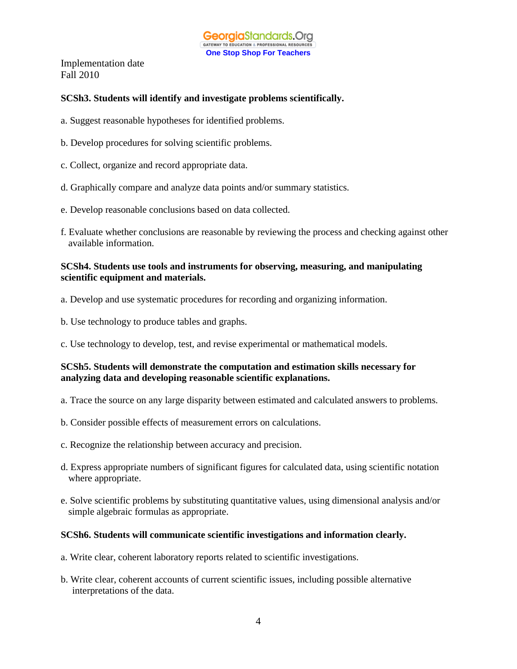#### **Georgia**Standards.Ora GATEWAY TO EDUCATION & PROFESSIONAL RESOURCE **One Stop Shop For Teachers**

Implementation date Fall 2010

### **SCSh3. Students will identify and investigate problems scientifically.**

- a. Suggest reasonable hypotheses for identified problems.
- b. Develop procedures for solving scientific problems.
- c. Collect, organize and record appropriate data.
- d. Graphically compare and analyze data points and/or summary statistics.
- e. Develop reasonable conclusions based on data collected.
- f. Evaluate whether conclusions are reasonable by reviewing the process and checking against other available information.

### **SCSh4. Students use tools and instruments for observing, measuring, and manipulating scientific equipment and materials.**

- a. Develop and use systematic procedures for recording and organizing information.
- b. Use technology to produce tables and graphs.
- c. Use technology to develop, test, and revise experimental or mathematical models.

### **SCSh5. Students will demonstrate the computation and estimation skills necessary for analyzing data and developing reasonable scientific explanations.**

- a. Trace the source on any large disparity between estimated and calculated answers to problems.
- b. Consider possible effects of measurement errors on calculations.
- c. Recognize the relationship between accuracy and precision.
- d. Express appropriate numbers of significant figures for calculated data, using scientific notation where appropriate.
- e. Solve scientific problems by substituting quantitative values, using dimensional analysis and/or simple algebraic formulas as appropriate.

#### **SCSh6. Students will communicate scientific investigations and information clearly.**

- a. Write clear, coherent laboratory reports related to scientific investigations.
- b. Write clear, coherent accounts of current scientific issues, including possible alternative interpretations of the data.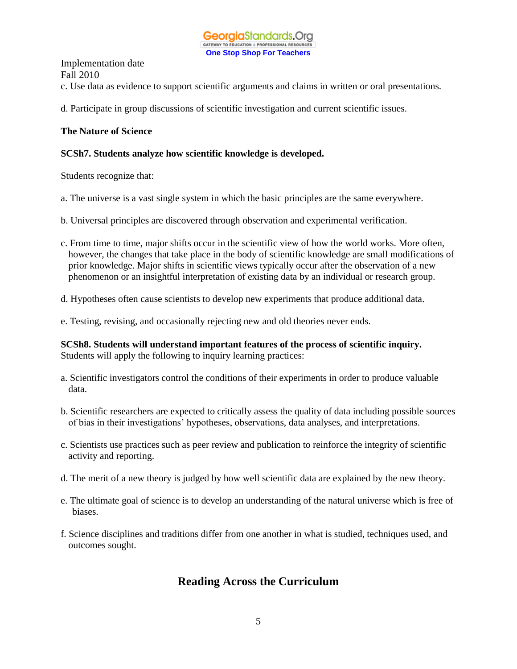

Implementation date Fall 2010 c. Use data as evidence to support scientific arguments and claims in written or oral presentations.

d. Participate in group discussions of scientific investigation and current scientific issues.

### **The Nature of Science**

### **SCSh7. Students analyze how scientific knowledge is developed.**

Students recognize that:

- a. The universe is a vast single system in which the basic principles are the same everywhere.
- b. Universal principles are discovered through observation and experimental verification.
- c. From time to time, major shifts occur in the scientific view of how the world works. More often, however, the changes that take place in the body of scientific knowledge are small modifications of prior knowledge. Major shifts in scientific views typically occur after the observation of a new phenomenon or an insightful interpretation of existing data by an individual or research group.
- d. Hypotheses often cause scientists to develop new experiments that produce additional data.
- e. Testing, revising, and occasionally rejecting new and old theories never ends.

**SCSh8. Students will understand important features of the process of scientific inquiry.**  Students will apply the following to inquiry learning practices:

- a. Scientific investigators control the conditions of their experiments in order to produce valuable data.
- b. Scientific researchers are expected to critically assess the quality of data including possible sources of bias in their investigations' hypotheses, observations, data analyses, and interpretations.
- c. Scientists use practices such as peer review and publication to reinforce the integrity of scientific activity and reporting.
- d. The merit of a new theory is judged by how well scientific data are explained by the new theory.
- e. The ultimate goal of science is to develop an understanding of the natural universe which is free of biases.
- f. Science disciplines and traditions differ from one another in what is studied, techniques used, and outcomes sought.

# **Reading Across the Curriculum**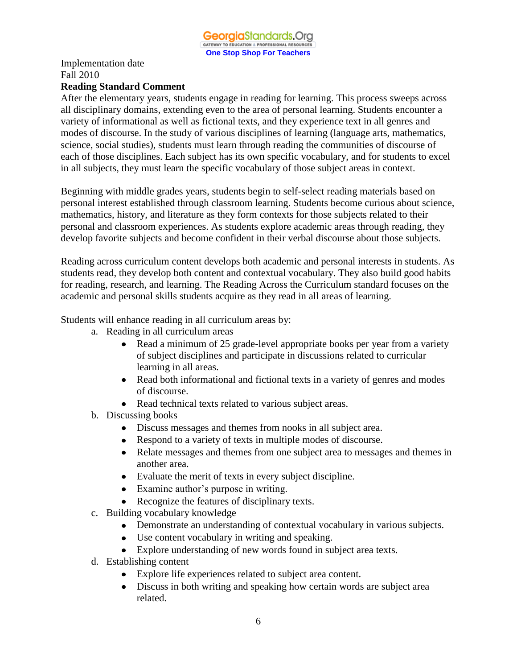

#### **Reading Standard Comment**

After the elementary years, students engage in reading for learning. This process sweeps across all disciplinary domains, extending even to the area of personal learning. Students encounter a variety of informational as well as fictional texts, and they experience text in all genres and modes of discourse. In the study of various disciplines of learning (language arts, mathematics, science, social studies), students must learn through reading the communities of discourse of each of those disciplines. Each subject has its own specific vocabulary, and for students to excel in all subjects, they must learn the specific vocabulary of those subject areas in context.

Beginning with middle grades years, students begin to self-select reading materials based on personal interest established through classroom learning. Students become curious about science, mathematics, history, and literature as they form contexts for those subjects related to their personal and classroom experiences. As students explore academic areas through reading, they develop favorite subjects and become confident in their verbal discourse about those subjects.

Reading across curriculum content develops both academic and personal interests in students. As students read, they develop both content and contextual vocabulary. They also build good habits for reading, research, and learning. The Reading Across the Curriculum standard focuses on the academic and personal skills students acquire as they read in all areas of learning.

Students will enhance reading in all curriculum areas by:

- a. Reading in all curriculum areas
	- Read a minimum of 25 grade-level appropriate books per year from a variety  $\bullet$ of subject disciplines and participate in discussions related to curricular learning in all areas.
	- Read both informational and fictional texts in a variety of genres and modes of discourse.
	- Read technical texts related to various subject areas.
- b. Discussing books
	- Discuss messages and themes from nooks in all subject area.
	- Respond to a variety of texts in multiple modes of discourse.
	- Relate messages and themes from one subject area to messages and themes in  $\bullet$ another area.
	- Evaluate the merit of texts in every subject discipline.
	- Examine author's purpose in writing.
	- Recognize the features of disciplinary texts.
- c. Building vocabulary knowledge
	- Demonstrate an understanding of contextual vocabulary in various subjects.
	- Use content vocabulary in writing and speaking.
	- Explore understanding of new words found in subject area texts.
- d. Establishing content
	- Explore life experiences related to subject area content.
	- Discuss in both writing and speaking how certain words are subject area related.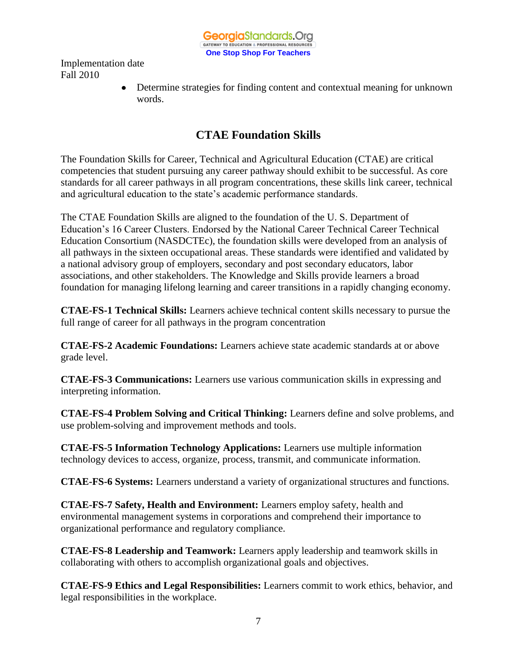GeorgiaStandards.Org GATEWAY TO EDUCATION & PROFESSIONAL RESOURCE **One Stop Shop For Teachers**

Implementation date Fall 2010

> Determine strategies for finding content and contextual meaning for unknown words.

# **CTAE Foundation Skills**

The Foundation Skills for Career, Technical and Agricultural Education (CTAE) are critical competencies that student pursuing any career pathway should exhibit to be successful. As core standards for all career pathways in all program concentrations, these skills link career, technical and agricultural education to the state's academic performance standards.

The CTAE Foundation Skills are aligned to the foundation of the U. S. Department of Education's 16 Career Clusters. Endorsed by the National Career Technical Career Technical Education Consortium (NASDCTEc), the foundation skills were developed from an analysis of all pathways in the sixteen occupational areas. These standards were identified and validated by a national advisory group of employers, secondary and post secondary educators, labor associations, and other stakeholders. The Knowledge and Skills provide learners a broad foundation for managing lifelong learning and career transitions in a rapidly changing economy.

**CTAE-FS-1 Technical Skills:** Learners achieve technical content skills necessary to pursue the full range of career for all pathways in the program concentration

**CTAE-FS-2 Academic Foundations:** Learners achieve state academic standards at or above grade level.

**CTAE-FS-3 Communications:** Learners use various communication skills in expressing and interpreting information.

**CTAE-FS-4 Problem Solving and Critical Thinking:** Learners define and solve problems, and use problem-solving and improvement methods and tools.

**CTAE-FS-5 Information Technology Applications:** Learners use multiple information technology devices to access, organize, process, transmit, and communicate information.

**CTAE-FS-6 Systems:** Learners understand a variety of organizational structures and functions.

**CTAE-FS-7 Safety, Health and Environment:** Learners employ safety, health and environmental management systems in corporations and comprehend their importance to organizational performance and regulatory compliance.

**CTAE-FS-8 Leadership and Teamwork:** Learners apply leadership and teamwork skills in collaborating with others to accomplish organizational goals and objectives.

**CTAE-FS-9 Ethics and Legal Responsibilities:** Learners commit to work ethics, behavior, and legal responsibilities in the workplace.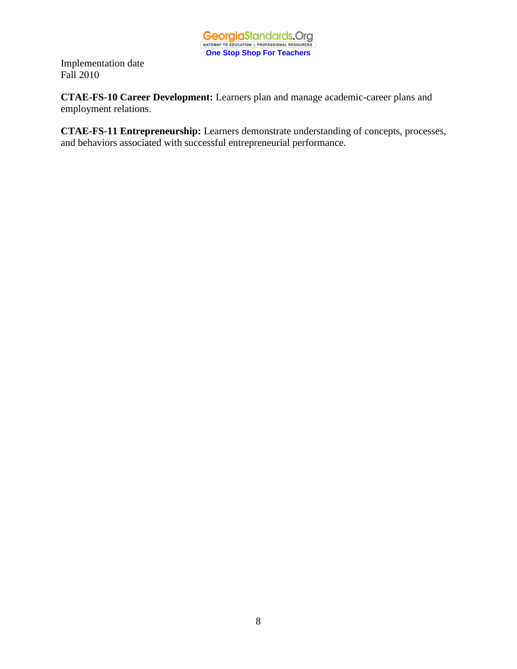

**CTAE-FS-10 Career Development:** Learners plan and manage academic-career plans and employment relations.

**CTAE-FS-11 Entrepreneurship:** Learners demonstrate understanding of concepts, processes, and behaviors associated with successful entrepreneurial performance.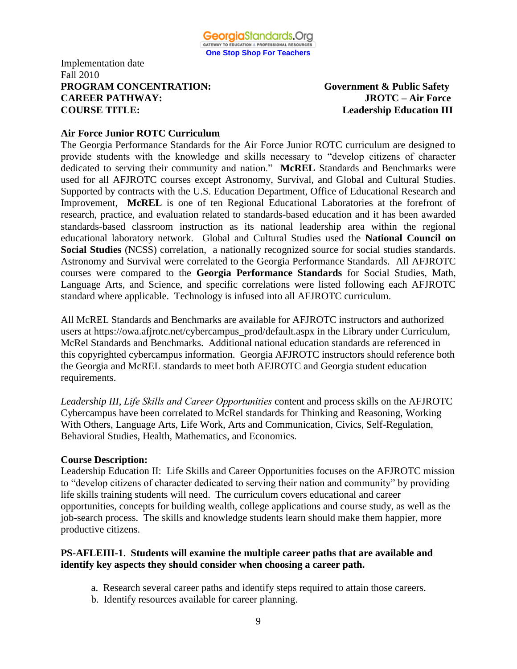# Implementation date Fall 2010 **PROGRAM CONCENTRATION:** Government & Public Safety **CAREER PATHWAY: JROTC – Air Force COURSE TITLE: Leadership Education III**

# **Air Force Junior ROTC Curriculum**

The Georgia Performance Standards for the Air Force Junior ROTC curriculum are designed to provide students with the knowledge and skills necessary to "develop citizens of character dedicated to serving their community and nation." **McREL** Standards and Benchmarks were used for all AFJROTC courses except Astronomy, Survival, and Global and Cultural Studies. Supported by contracts with the U.S. Education Department, Office of Educational Research and Improvement, **McREL** is one of ten Regional Educational Laboratories at the forefront of research, practice, and evaluation related to standards-based education and it has been awarded standards-based classroom instruction as its national leadership area within the regional educational laboratory network. Global and Cultural Studies used the **National Council on Social Studies** (NCSS) correlation, a nationally recognized source for social studies standards. Astronomy and Survival were correlated to the Georgia Performance Standards. All AFJROTC courses were compared to the **Georgia Performance Standards** for Social Studies, Math, Language Arts, and Science, and specific correlations were listed following each AFJROTC standard where applicable. Technology is infused into all AFJROTC curriculum.

All McREL Standards and Benchmarks are available for AFJROTC instructors and authorized users at https://owa.afjrotc.net/cybercampus\_prod/default.aspx in the Library under Curriculum, McRel Standards and Benchmarks. Additional national education standards are referenced in this copyrighted cybercampus information. Georgia AFJROTC instructors should reference both the Georgia and McREL standards to meet both AFJROTC and Georgia student education requirements.

*Leadership III*, *Life Skills and Career Opportunities* content and process skills on the AFJROTC Cybercampus have been correlated to McRel standards for Thinking and Reasoning, Working With Others, Language Arts, Life Work, Arts and Communication, Civics, Self-Regulation, Behavioral Studies, Health, Mathematics, and Economics.

### **Course Description:**

Leadership Education II: Life Skills and Career Opportunities focuses on the AFJROTC mission to "develop citizens of character dedicated to serving their nation and community" by providing life skills training students will need. The curriculum covers educational and career opportunities, concepts for building wealth, college applications and course study, as well as the job-search process. The skills and knowledge students learn should make them happier, more productive citizens.

# **PS-AFLEIII-1**. **Students will examine the multiple career paths that are available and identify key aspects they should consider when choosing a career path.**

- a. Research several career paths and identify steps required to attain those careers.
- b. Identify resources available for career planning.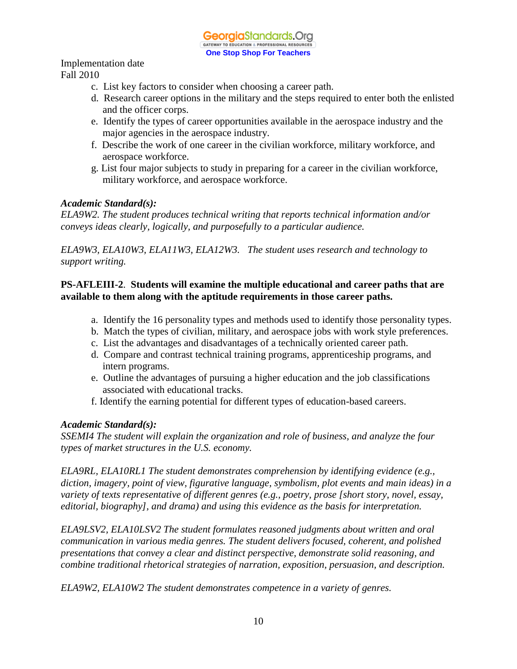- c. List key factors to consider when choosing a career path.
- d. Research career options in the military and the steps required to enter both the enlisted and the officer corps.
- e. Identify the types of career opportunities available in the aerospace industry and the major agencies in the aerospace industry.
- f. Describe the work of one career in the civilian workforce, military workforce, and aerospace workforce.
- g. List four major subjects to study in preparing for a career in the civilian workforce, military workforce, and aerospace workforce.

# *Academic Standard(s):*

*ELA9W2. The student produces technical writing that reports technical information and/or conveys ideas clearly, logically, and purposefully to a particular audience.*

*ELA9W3, ELA10W3, ELA11W3, ELA12W3. The student uses research and technology to support writing.*

# **PS-AFLEIII-2**. **Students will examine the multiple educational and career paths that are available to them along with the aptitude requirements in those career paths.**

- a. Identify the 16 personality types and methods used to identify those personality types.
- b. Match the types of civilian, military, and aerospace jobs with work style preferences.
- c. List the advantages and disadvantages of a technically oriented career path.
- d. Compare and contrast technical training programs, apprenticeship programs, and intern programs.
- e. Outline the advantages of pursuing a higher education and the job classifications associated with educational tracks.
- f. Identify the earning potential for different types of education-based careers.

# *Academic Standard(s):*

*SSEMI4 The student will explain the organization and role of business, and analyze the four types of market structures in the U.S. economy.*

*ELA9RL, ELA10RL1 The student demonstrates comprehension by identifying evidence (e.g., diction, imagery, point of view, figurative language, symbolism, plot events and main ideas) in a variety of texts representative of different genres (e.g., poetry, prose [short story, novel, essay, editorial, biography], and drama) and using this evidence as the basis for interpretation.*

*ELA9LSV2, ELA10LSV2 The student formulates reasoned judgments about written and oral communication in various media genres. The student delivers focused, coherent, and polished presentations that convey a clear and distinct perspective, demonstrate solid reasoning, and combine traditional rhetorical strategies of narration, exposition, persuasion, and description.*

*ELA9W2, ELA10W2 The student demonstrates competence in a variety of genres.*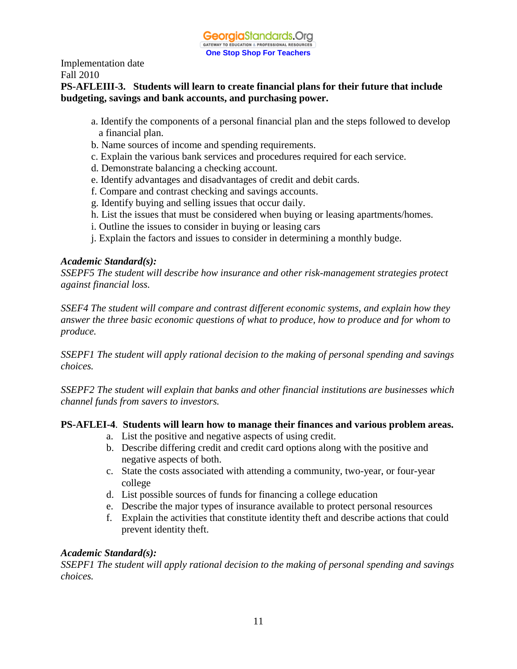# **PS-AFLEIII-3. Students will learn to create financial plans for their future that include budgeting, savings and bank accounts, and purchasing power.**

- a. Identify the components of a personal financial plan and the steps followed to develop a financial plan.
- b. Name sources of income and spending requirements.
- c. Explain the various bank services and procedures required for each service.
- d. Demonstrate balancing a checking account.
- e. Identify advantages and disadvantages of credit and debit cards.
- f. Compare and contrast checking and savings accounts.
- g. Identify buying and selling issues that occur daily.
- h. List the issues that must be considered when buying or leasing apartments/homes.
- i. Outline the issues to consider in buying or leasing cars
- j. Explain the factors and issues to consider in determining a monthly budge.

# *Academic Standard(s):*

*SSEPF5 The student will describe how insurance and other risk-management strategies protect against financial loss.*

*SSEF4 The student will compare and contrast different economic systems, and explain how they answer the three basic economic questions of what to produce, how to produce and for whom to produce.*

*SSEPF1 The student will apply rational decision to the making of personal spending and savings choices.*

*SSEPF2 The student will explain that banks and other financial institutions are businesses which channel funds from savers to investors.*

# **PS-AFLEI-4**. **Students will learn how to manage their finances and various problem areas.**

- a. List the positive and negative aspects of using credit.
- b. Describe differing credit and credit card options along with the positive and negative aspects of both.
- c. State the costs associated with attending a community, two-year, or four-year college
- d. List possible sources of funds for financing a college education
- e. Describe the major types of insurance available to protect personal resources
- f. Explain the activities that constitute identity theft and describe actions that could prevent identity theft.

### *Academic Standard(s):*

*SSEPF1 The student will apply rational decision to the making of personal spending and savings choices.*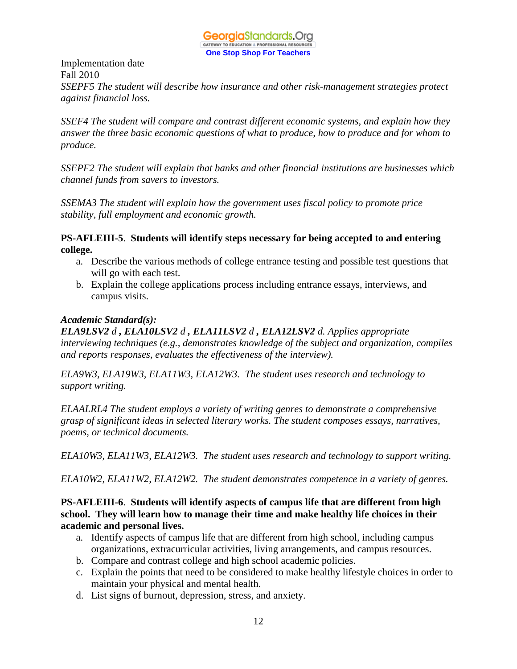

Implementation date Fall 2010 *SSEPF5 The student will describe how insurance and other risk-management strategies protect against financial loss.*

*SSEF4 The student will compare and contrast different economic systems, and explain how they answer the three basic economic questions of what to produce, how to produce and for whom to produce.*

*SSEPF2 The student will explain that banks and other financial institutions are businesses which channel funds from savers to investors.*

*SSEMA3 The student will explain how the government uses fiscal policy to promote price stability, full employment and economic growth.*

**PS-AFLEIII-5**. **Students will identify steps necessary for being accepted to and entering college.**

- a. Describe the various methods of college entrance testing and possible test questions that will go with each test.
- b. Explain the college applications process including entrance essays, interviews, and campus visits.

# *Academic Standard(s):*

*ELA9LSV2 d , ELA10LSV2 d , ELA11LSV2 d , ELA12LSV2 d. Applies appropriate interviewing techniques (e.g., demonstrates knowledge of the subject and organization, compiles and reports responses, evaluates the effectiveness of the interview).*

*ELA9W3, ELA19W3, ELA11W3, ELA12W3. The student uses research and technology to support writing.*

*ELAALRL4 The student employs a variety of writing genres to demonstrate a comprehensive grasp of significant ideas in selected literary works. The student composes essays, narratives, poems, or technical documents.*

*ELA10W3, ELA11W3, ELA12W3. The student uses research and technology to support writing.*

*ELA10W2, ELA11W2, ELA12W2. The student demonstrates competence in a variety of genres.*

# **PS-AFLEIII-6**. **Students will identify aspects of campus life that are different from high school. They will learn how to manage their time and make healthy life choices in their academic and personal lives.**

- a. Identify aspects of campus life that are different from high school, including campus organizations, extracurricular activities, living arrangements, and campus resources.
- b. Compare and contrast college and high school academic policies.
- c. Explain the points that need to be considered to make healthy lifestyle choices in order to maintain your physical and mental health.
- d. List signs of burnout, depression, stress, and anxiety.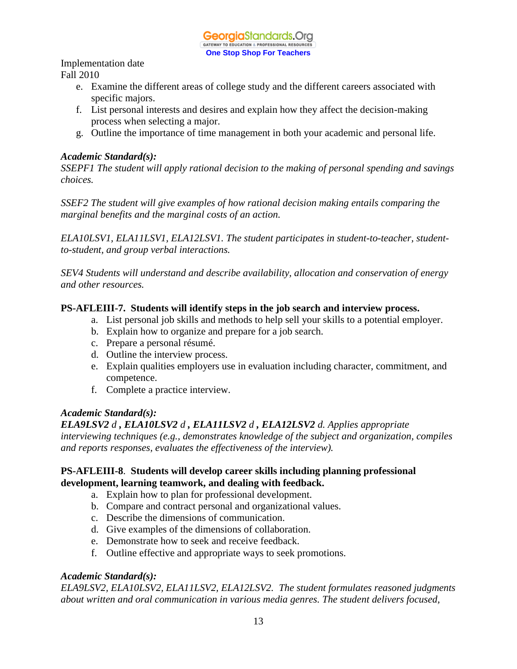- e. Examine the different areas of college study and the different careers associated with specific majors.
- f. List personal interests and desires and explain how they affect the decision-making process when selecting a major.
- g. Outline the importance of time management in both your academic and personal life.

# *Academic Standard(s):*

*SSEPF1 The student will apply rational decision to the making of personal spending and savings choices.*

*SSEF2 The student will give examples of how rational decision making entails comparing the marginal benefits and the marginal costs of an action.*

*ELA10LSV1, ELA11LSV1, ELA12LSV1. The student participates in student-to-teacher, studentto-student, and group verbal interactions.*

*SEV4 Students will understand and describe availability, allocation and conservation of energy and other resources.*

# **PS-AFLEIII-7. Students will identify steps in the job search and interview process.**

- a. List personal job skills and methods to help sell your skills to a potential employer.
- b. Explain how to organize and prepare for a job search.
- c. Prepare a personal résumé.
- d. Outline the interview process.
- e. Explain qualities employers use in evaluation including character, commitment, and competence.
- f. Complete a practice interview.

# *Academic Standard(s):*

*ELA9LSV2 d , ELA10LSV2 d , ELA11LSV2 d , ELA12LSV2 d. Applies appropriate* 

*interviewing techniques (e.g., demonstrates knowledge of the subject and organization, compiles and reports responses, evaluates the effectiveness of the interview).*

# **PS-AFLEIII-8**. **Students will develop career skills including planning professional development, learning teamwork, and dealing with feedback.**

- a. Explain how to plan for professional development.
- b. Compare and contract personal and organizational values.
- c. Describe the dimensions of communication.
- d. Give examples of the dimensions of collaboration.
- e. Demonstrate how to seek and receive feedback.
- f. Outline effective and appropriate ways to seek promotions.

# *Academic Standard(s):*

*ELA9LSV2, ELA10LSV2, ELA11LSV2, ELA12LSV2. The student formulates reasoned judgments about written and oral communication in various media genres. The student delivers focused,*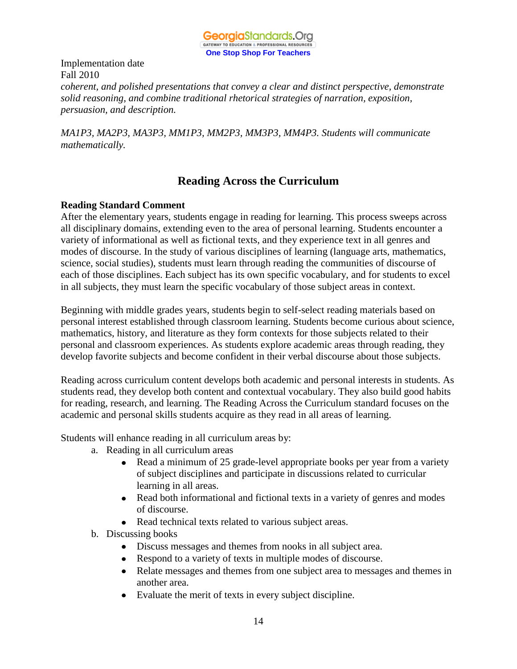

Implementation date Fall 2010 *coherent, and polished presentations that convey a clear and distinct perspective, demonstrate solid reasoning, and combine traditional rhetorical strategies of narration, exposition, persuasion, and description.*

*MA1P3, MA2P3, MA3P3, MM1P3, MM2P3, MM3P3, MM4P3. Students will communicate mathematically.*

# **Reading Across the Curriculum**

# **Reading Standard Comment**

After the elementary years, students engage in reading for learning. This process sweeps across all disciplinary domains, extending even to the area of personal learning. Students encounter a variety of informational as well as fictional texts, and they experience text in all genres and modes of discourse. In the study of various disciplines of learning (language arts, mathematics, science, social studies), students must learn through reading the communities of discourse of each of those disciplines. Each subject has its own specific vocabulary, and for students to excel in all subjects, they must learn the specific vocabulary of those subject areas in context.

Beginning with middle grades years, students begin to self-select reading materials based on personal interest established through classroom learning. Students become curious about science, mathematics, history, and literature as they form contexts for those subjects related to their personal and classroom experiences. As students explore academic areas through reading, they develop favorite subjects and become confident in their verbal discourse about those subjects.

Reading across curriculum content develops both academic and personal interests in students. As students read, they develop both content and contextual vocabulary. They also build good habits for reading, research, and learning. The Reading Across the Curriculum standard focuses on the academic and personal skills students acquire as they read in all areas of learning.

Students will enhance reading in all curriculum areas by:

- a. Reading in all curriculum areas
	- Read a minimum of 25 grade-level appropriate books per year from a variety  $\bullet$ of subject disciplines and participate in discussions related to curricular learning in all areas.
	- Read both informational and fictional texts in a variety of genres and modes of discourse.
	- Read technical texts related to various subject areas.
- b. Discussing books
	- Discuss messages and themes from nooks in all subject area.
	- Respond to a variety of texts in multiple modes of discourse.
	- Relate messages and themes from one subject area to messages and themes in another area.
	- Evaluate the merit of texts in every subject discipline.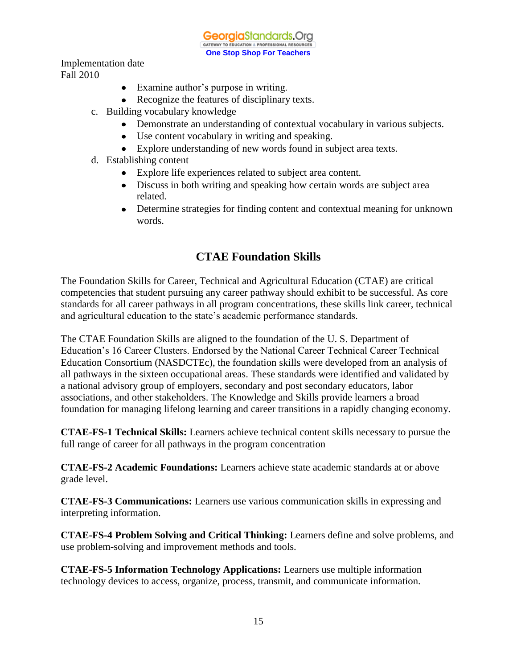GATEWAY TO EDUCATION & PROFESSIONAL RESOURCE **One Stop Shop For Teachers**

Implementation date Fall 2010

- Examine author's purpose in writing.
- Recognize the features of disciplinary texts.
- c. Building vocabulary knowledge
	- Demonstrate an understanding of contextual vocabulary in various subjects.
	- Use content vocabulary in writing and speaking.
	- Explore understanding of new words found in subject area texts.

GeorgiaStandards.Org

- d. Establishing content
	- Explore life experiences related to subject area content.
	- Discuss in both writing and speaking how certain words are subject area related.
	- Determine strategies for finding content and contextual meaning for unknown words.

# **CTAE Foundation Skills**

The Foundation Skills for Career, Technical and Agricultural Education (CTAE) are critical competencies that student pursuing any career pathway should exhibit to be successful. As core standards for all career pathways in all program concentrations, these skills link career, technical and agricultural education to the state's academic performance standards.

The CTAE Foundation Skills are aligned to the foundation of the U. S. Department of Education's 16 Career Clusters. Endorsed by the National Career Technical Career Technical Education Consortium (NASDCTEc), the foundation skills were developed from an analysis of all pathways in the sixteen occupational areas. These standards were identified and validated by a national advisory group of employers, secondary and post secondary educators, labor associations, and other stakeholders. The Knowledge and Skills provide learners a broad foundation for managing lifelong learning and career transitions in a rapidly changing economy.

**CTAE-FS-1 Technical Skills:** Learners achieve technical content skills necessary to pursue the full range of career for all pathways in the program concentration

**CTAE-FS-2 Academic Foundations:** Learners achieve state academic standards at or above grade level.

**CTAE-FS-3 Communications:** Learners use various communication skills in expressing and interpreting information.

**CTAE-FS-4 Problem Solving and Critical Thinking:** Learners define and solve problems, and use problem-solving and improvement methods and tools.

**CTAE-FS-5 Information Technology Applications:** Learners use multiple information technology devices to access, organize, process, transmit, and communicate information.